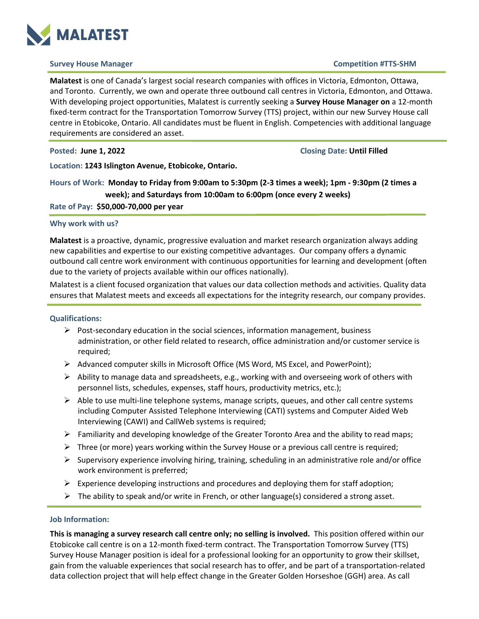

### **Survey House Manager Competition #TTS-SHM**

**Malatest** is one of Canada's largest social research companies with offices in Victoria, Edmonton, Ottawa, and Toronto. Currently, we own and operate three outbound call centres in Victoria, Edmonton, and Ottawa. With developing project opportunities, Malatest is currently seeking a **Survey House Manager on** a 12-month fixed-term contract for the Transportation Tomorrow Survey (TTS) project, within our new Survey House call centre in Etobicoke, Ontario. All candidates must be fluent in English. Competencies with additional language requirements are considered an asset.

**Posted: June 1, 2022 Closing Date: Until Filled**

**Location: 1243 Islington Avenue, Etobicoke, Ontario.**

**Hours of Work: Monday to Friday from 9:00am to 5:30pm (2-3 times a week); 1pm - 9:30pm (2 times a week); and Saturdays from 10:00am to 6:00pm (once every 2 weeks)**

**Rate of Pay: \$50,000-70,000 per year**

## **Why work with us?**

**Malatest** is a proactive, dynamic, progressive evaluation and market research organization always adding new capabilities and expertise to our existing competitive advantages. Our company offers a dynamic outbound call centre work environment with continuous opportunities for learning and development (often due to the variety of projects available within our offices nationally).

Malatest is a client focused organization that values our data collection methods and activities. Quality data ensures that Malatest meets and exceeds all expectations for the integrity research, our company provides.

#### **Qualifications:**

- $\triangleright$  Post-secondary education in the social sciences, information management, business administration, or other field related to research, office administration and/or customer service is required;
- Advanced computer skills in Microsoft Office (MS Word, MS Excel, and PowerPoint);
- $\triangleright$  Ability to manage data and spreadsheets, e.g., working with and overseeing work of others with personnel lists, schedules, expenses, staff hours, productivity metrics, etc.);
- $\triangleright$  Able to use multi-line telephone systems, manage scripts, queues, and other call centre systems including Computer Assisted Telephone Interviewing (CATI) systems and Computer Aided Web Interviewing (CAWI) and CallWeb systems is required;
- $\triangleright$  Familiarity and developing knowledge of the Greater Toronto Area and the ability to read maps;
- $\triangleright$  Three (or more) years working within the Survey House or a previous call centre is required;
- $\triangleright$  Supervisory experience involving hiring, training, scheduling in an administrative role and/or office work environment is preferred;
- $\triangleright$  Experience developing instructions and procedures and deploying them for staff adoption;
- $\triangleright$  The ability to speak and/or write in French, or other language(s) considered a strong asset.

### **Job Information:**

**This is managing a survey research call centre only; no selling is involved.** This position offered within our Etobicoke call centre is on a 12-month fixed-term contract. The Transportation Tomorrow Survey (TTS) Survey House Manager position is ideal for a professional looking for an opportunity to grow their skillset, gain from the valuable experiences that social research has to offer, and be part of a transportation-related data collection project that will help effect change in the Greater Golden Horseshoe (GGH) area. As call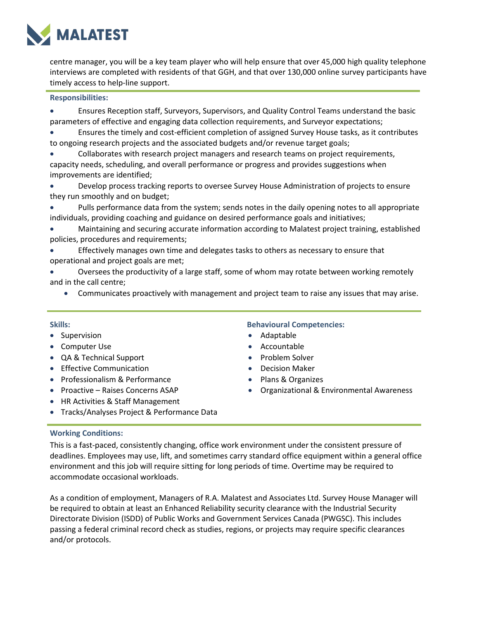

centre manager, you will be a key team player who will help ensure that over 45,000 high quality telephone interviews are completed with residents of that GGH, and that over 130,000 online survey participants have timely access to help-line support.

### **Responsibilities:**

- Ensures Reception staff, Surveyors, Supervisors, and Quality Control Teams understand the basic parameters of effective and engaging data collection requirements, and Surveyor expectations;
- Ensures the timely and cost-efficient completion of assigned Survey House tasks, as it contributes to ongoing research projects and the associated budgets and/or revenue target goals;
- Collaborates with research project managers and research teams on project requirements, capacity needs, scheduling, and overall performance or progress and provides suggestions when improvements are identified;
- Develop process tracking reports to oversee Survey House Administration of projects to ensure they run smoothly and on budget;
- Pulls performance data from the system; sends notes in the daily opening notes to all appropriate individuals, providing coaching and guidance on desired performance goals and initiatives;
- Maintaining and securing accurate information according to Malatest project training, established policies, procedures and requirements;
- Effectively manages own time and delegates tasks to others as necessary to ensure that operational and project goals are met;
- Oversees the productivity of a large staff, some of whom may rotate between working remotely and in the call centre;
	- Communicates proactively with management and project team to raise any issues that may arise.

- Supervision
- Computer Use
- QA & Technical Support
- Effective Communication
- Professionalism & Performance
- Proactive Raises Concerns ASAP
- HR Activities & Staff Management

# **Skills: Behavioural Competencies:**

- Adaptable
- Accountable
- Problem Solver
- Decision Maker
- Plans & Organizes
- Organizational & Environmental Awareness
- Tracks/Analyses Project & Performance Data

# **Working Conditions:**

This is a fast-paced, consistently changing, office work environment under the consistent pressure of deadlines. Employees may use, lift, and sometimes carry standard office equipment within a general office environment and this job will require sitting for long periods of time. Overtime may be required to accommodate occasional workloads.

As a condition of employment, Managers of R.A. Malatest and Associates Ltd. Survey House Manager will be required to obtain at least an Enhanced Reliability security clearance with the Industrial Security Directorate Division (ISDD) of Public Works and Government Services Canada (PWGSC). This includes passing a federal criminal record check as studies, regions, or projects may require specific clearances and/or protocols.